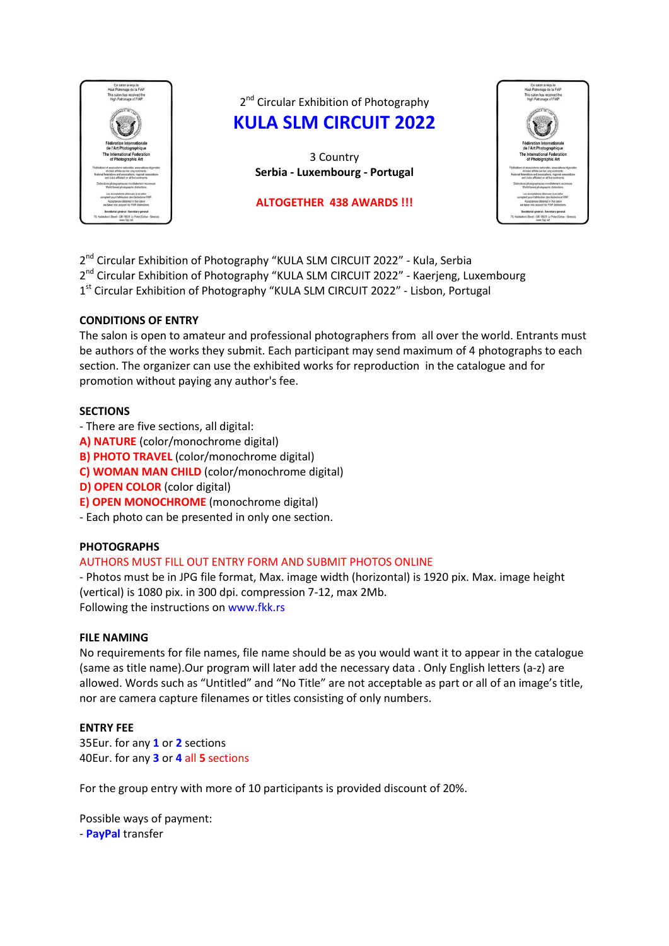

2<sup>nd</sup> Circular Exhibition of Photography **KULA SLM CIRCUIT 2022**

> 3 Country **Serbia - Luxembourg - Portugal**

## **ALTOGETHER 438 AWARDS !!!**



2<sup>nd</sup> Circular Exhibition of Photography "KULA SLM CIRCUIT 2022" - Kula, Serbia

2<sup>nd</sup> Circular Exhibition of Photography "KULA SLM CIRCUIT 2022" - Kaerjeng, Luxembourg

1<sup>st</sup> Circular Exhibition of Photography "KULA SLM CIRCUIT 2022" - Lisbon, Portugal

# **CONDITIONS OF ENTRY**

The salon is open to amateur and professional photographers from all over the world. Entrants must be authors of the works they submit. Each participant may send maximum of 4 photographs to each section. The organizer can use the exhibited works for reproduction in the catalogue and for promotion without paying any author's fee.

# **SECTIONS**

- There are five sections, all digital:
- **A) NATURE** (color/monochrome digital)
- **B) PHOTO TRAVEL** (color/monochrome digital)
- **C) WOMAN MAN CHILD** (color/monochrome digital)
- **D) OPEN COLOR** (color digital)
- **E) OPEN MONOCHROME** (monochrome digital)
- Each photo can be presented in only one section.

# **PHOTOGRAPHS**

# AUTHORS MUST FILL OUT ENTRY FORM AND SUBMIT PHOTOS ONLINE

- Photos must be in JPG file format, Max. image width (horizontal) is 1920 pix. Max. image height (vertical) is 1080 pix. in 300 dpi. compression 7-12, max 2Mb. Following the instructions on www.fkk.rs

# **FILE NAMING**

No requirements for file names, file name should be as you would want it to appear in the catalogue (same as title name).Our program will later add the necessary data . Only English letters (a-z) are allowed. Words such as "Untitled" and "No Title" are not acceptable as part or all of an image's title, nor are camera capture filenames or titles consisting of only numbers.

# **ENTRY FEE**

35Eur. for any **1** or **2** sections 40Eur. for any **3** or **4** all **5** sections

For the group entry with more of 10 participants is provided discount of 20%.

Possible ways of payment: - **PayPal** transfer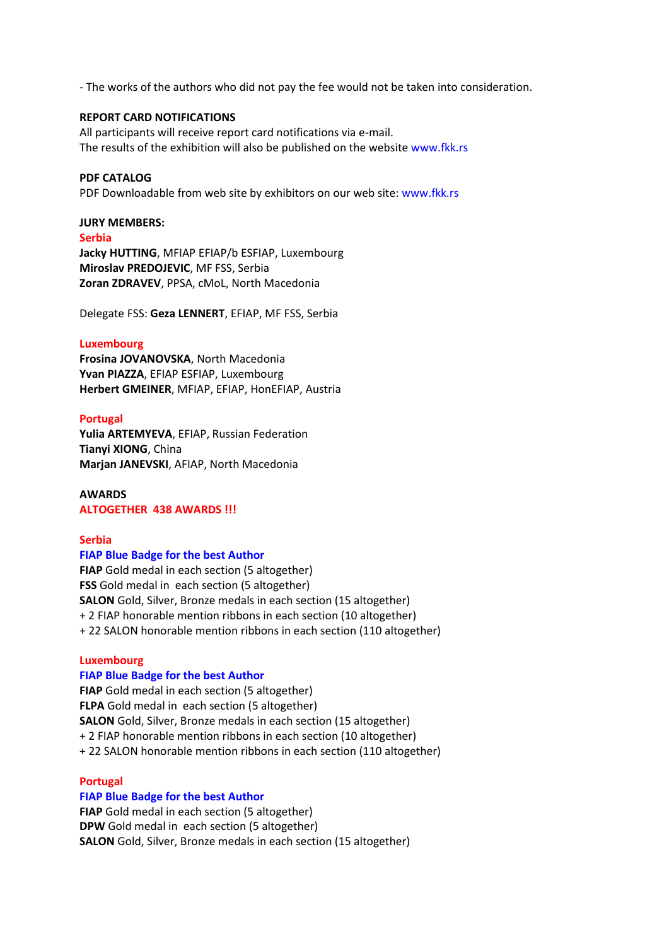- The works of the authors who did not pay the fee would not be taken into consideration.

# **REPORT CARD NOTIFICATIONS**

All participants will receive report card notifications via e-mail. The results of the exhibition will also be published on the website www.fkk.rs

## **PDF CATALOG**

PDF Downloadable from web site by exhibitors on our web site: www.fkk.rs

## **JURY MEMBERS:**

## **Serbia**

**Jacky HUTTING**, MFIAP EFIAP/b ESFIAP, Luxembourg **Miroslav PREDOJEVIC**, MF FSS, Serbia **Zoran ZDRAVEV**, PPSA, cMoL, North Macedonia

Delegate FSS: **Geza LENNERT**, EFIAP, MF FSS, Serbia

## **Luxembourg**

**Frosina JOVANOVSKA**, North Macedonia **Yvan PIAZZA**, EFIAP ESFIAP, Luxembourg **Herbert GMEINER**, MFIAP, EFIAP, HonEFIAP, Austria

## **Portugal**

**Yulia ARTEMYEVA**, EFIAP, Russian Federation **Tianyi XIONG**, China **Marjan JANEVSKI**, AFIAP, North Macedonia

## **AWARDS**

## **ALTOGETHER 438 AWARDS !!!**

## **Serbia**

## **FIAP Blue Badge for the best Author**

**FIAP** Gold medal in each section (5 altogether) **FSS** Gold medal in each section (5 altogether) **SALON** Gold, Silver, Bronze medals in each section (15 altogether) + 2 FIAP honorable mention ribbons in each section (10 altogether) + 22 SALON honorable mention ribbons in each section (110 altogether)

## **Luxembourg**

## **FIAP Blue Badge for the best Author**

**FIAP** Gold medal in each section (5 altogether) **FLPA** Gold medal in each section (5 altogether) **SALON** Gold, Silver, Bronze medals in each section (15 altogether) + 2 FIAP honorable mention ribbons in each section (10 altogether) + 22 SALON honorable mention ribbons in each section (110 altogether)

## **Portugal**

# **FIAP Blue Badge for the best Author**

**FIAP** Gold medal in each section (5 altogether) **DPW** Gold medal in each section (5 altogether) **SALON** Gold, Silver, Bronze medals in each section (15 altogether)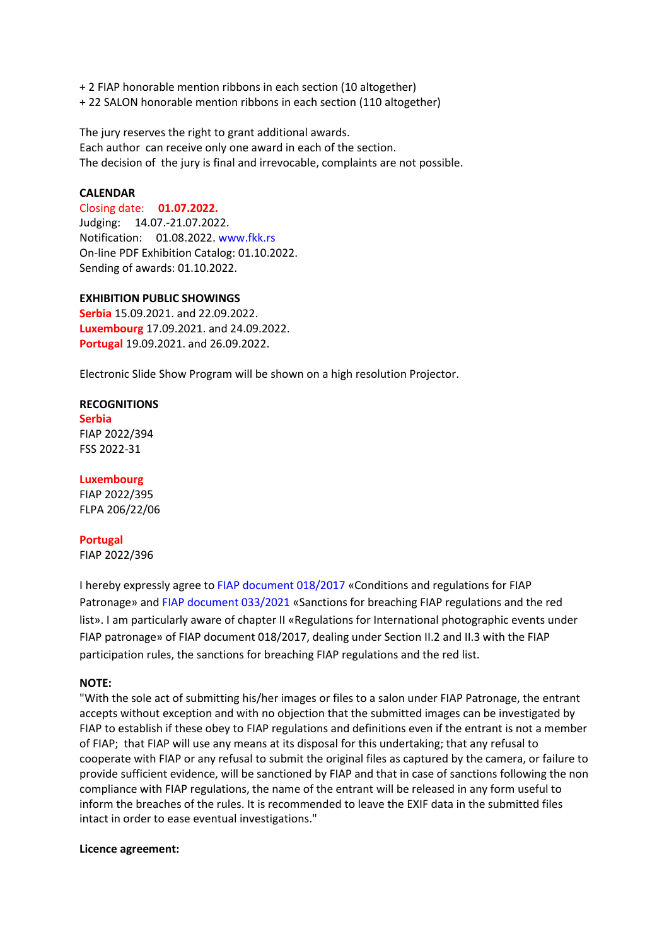- + 2 FIAP honorable mention ribbons in each section (10 altogether)
- + 22 SALON honorable mention ribbons in each section (110 altogether)

The jury reserves the right to grant additional awards. Each author can receive only one award in each of the section. The decision of the jury is final and irrevocable, complaints are not possible.

# **CALENDAR**

Closing date: **01.07.2022.** Judging: 14.07.-21.07.2022. Notification: 01.08.2022. www.fkk.rs On-line PDF Exhibition Catalog: 01.10.2022. Sending of awards: 01.10.2022.

## **EXHIBITION PUBLIC SHOWINGS**

**Serbia** 15.09.2021. and 22.09.2022. **Luxembourg** 17.09.2021. and 24.09.2022. **Portugal** 19.09.2021. and 26.09.2022.

Electronic Slide Show Program will be shown on a high resolution Projector.

## **RECOGNITIONS**

**Serbia** FIAP 2022/394 FSS 2022-31

## **Luxembourg**

FIAP 2022/395 FLPA 206/22/06

## **Portugal**

FIAP 2022/396

I hereby expressly agree to FIAP document 018/2017 «Conditions and regulations for FIAP Patronage» and FIAP document 033/2021 «Sanctions for breaching FIAP regulations and the red list». I am particularly aware of chapter II «Regulations for International photographic events under FIAP patronage» of FIAP document 018/2017, dealing under Section II.2 and II.3 with the FIAP participation rules, the sanctions for breaching FIAP regulations and the red list.

## **NOTE:**

"With the sole act of submitting his/her images or files to a salon under FIAP Patronage, the entrant accepts without exception and with no objection that the submitted images can be investigated by FIAP to establish if these obey to FIAP regulations and definitions even if the entrant is not a member of FIAP; that FIAP will use any means at its disposal for this undertaking; that any refusal to cooperate with FIAP or any refusal to submit the original files as captured by the camera, or failure to provide sufficient evidence, will be sanctioned by FIAP and that in case of sanctions following the non compliance with FIAP regulations, the name of the entrant will be released in any form useful to inform the breaches of the rules. It is recommended to leave the EXIF data in the submitted files intact in order to ease eventual investigations."

## **Licence agreement:**